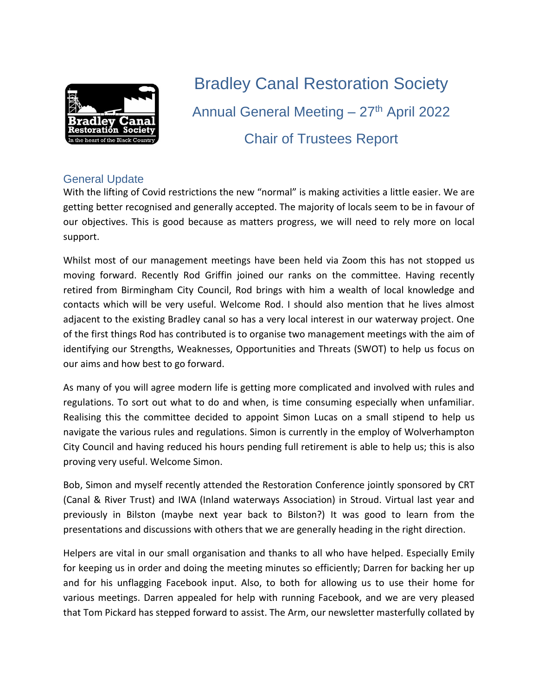

# Bradley Canal Restoration Society Annual General Meeting - 27<sup>th</sup> April 2022 Chair of Trustees Report

#### General Update

With the lifting of Covid restrictions the new "normal" is making activities a little easier. We are getting better recognised and generally accepted. The majority of locals seem to be in favour of our objectives. This is good because as matters progress, we will need to rely more on local support.

Whilst most of our management meetings have been held via Zoom this has not stopped us moving forward. Recently Rod Griffin joined our ranks on the committee. Having recently retired from Birmingham City Council, Rod brings with him a wealth of local knowledge and contacts which will be very useful. Welcome Rod. I should also mention that he lives almost adjacent to the existing Bradley canal so has a very local interest in our waterway project. One of the first things Rod has contributed is to organise two management meetings with the aim of identifying our Strengths, Weaknesses, Opportunities and Threats (SWOT) to help us focus on our aims and how best to go forward.

As many of you will agree modern life is getting more complicated and involved with rules and regulations. To sort out what to do and when, is time consuming especially when unfamiliar. Realising this the committee decided to appoint Simon Lucas on a small stipend to help us navigate the various rules and regulations. Simon is currently in the employ of Wolverhampton City Council and having reduced his hours pending full retirement is able to help us; this is also proving very useful. Welcome Simon.

Bob, Simon and myself recently attended the Restoration Conference jointly sponsored by CRT (Canal & River Trust) and IWA (Inland waterways Association) in Stroud. Virtual last year and previously in Bilston (maybe next year back to Bilston?) It was good to learn from the presentations and discussions with others that we are generally heading in the right direction.

Helpers are vital in our small organisation and thanks to all who have helped. Especially Emily for keeping us in order and doing the meeting minutes so efficiently; Darren for backing her up and for his unflagging Facebook input. Also, to both for allowing us to use their home for various meetings. Darren appealed for help with running Facebook, and we are very pleased that Tom Pickard has stepped forward to assist. The Arm, our newsletter masterfully collated by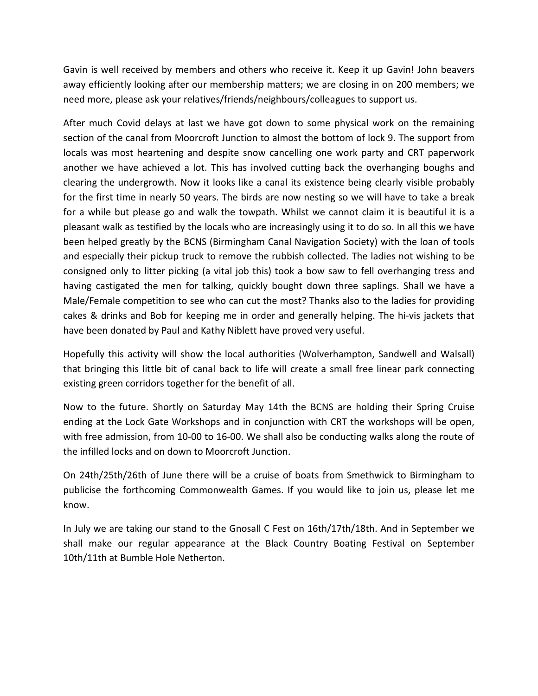Gavin is well received by members and others who receive it. Keep it up Gavin! John beavers away efficiently looking after our membership matters; we are closing in on 200 members; we need more, please ask your relatives/friends/neighbours/colleagues to support us.

After much Covid delays at last we have got down to some physical work on the remaining section of the canal from Moorcroft Junction to almost the bottom of lock 9. The support from locals was most heartening and despite snow cancelling one work party and CRT paperwork another we have achieved a lot. This has involved cutting back the overhanging boughs and clearing the undergrowth. Now it looks like a canal its existence being clearly visible probably for the first time in nearly 50 years. The birds are now nesting so we will have to take a break for a while but please go and walk the towpath. Whilst we cannot claim it is beautiful it is a pleasant walk as testified by the locals who are increasingly using it to do so. In all this we have been helped greatly by the BCNS (Birmingham Canal Navigation Society) with the loan of tools and especially their pickup truck to remove the rubbish collected. The ladies not wishing to be consigned only to litter picking (a vital job this) took a bow saw to fell overhanging tress and having castigated the men for talking, quickly bought down three saplings. Shall we have a Male/Female competition to see who can cut the most? Thanks also to the ladies for providing cakes & drinks and Bob for keeping me in order and generally helping. The hi-vis jackets that have been donated by Paul and Kathy Niblett have proved very useful.

Hopefully this activity will show the local authorities (Wolverhampton, Sandwell and Walsall) that bringing this little bit of canal back to life will create a small free linear park connecting existing green corridors together for the benefit of all.

Now to the future. Shortly on Saturday May 14th the BCNS are holding their Spring Cruise ending at the Lock Gate Workshops and in conjunction with CRT the workshops will be open, with free admission, from 10-00 to 16-00. We shall also be conducting walks along the route of the infilled locks and on down to Moorcroft Junction.

On 24th/25th/26th of June there will be a cruise of boats from Smethwick to Birmingham to publicise the forthcoming Commonwealth Games. If you would like to join us, please let me know.

In July we are taking our stand to the Gnosall C Fest on 16th/17th/18th. And in September we shall make our regular appearance at the Black Country Boating Festival on September 10th/11th at Bumble Hole Netherton.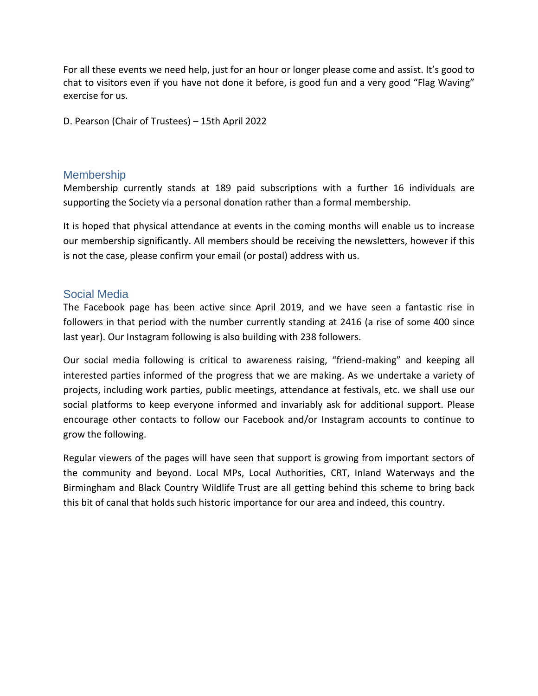For all these events we need help, just for an hour or longer please come and assist. It's good to chat to visitors even if you have not done it before, is good fun and a very good "Flag Waving" exercise for us.

D. Pearson (Chair of Trustees) – 15th April 2022

#### **Membership**

Membership currently stands at 189 paid subscriptions with a further 16 individuals are supporting the Society via a personal donation rather than a formal membership.

It is hoped that physical attendance at events in the coming months will enable us to increase our membership significantly. All members should be receiving the newsletters, however if this is not the case, please confirm your email (or postal) address with us.

#### Social Media

The Facebook page has been active since April 2019, and we have seen a fantastic rise in followers in that period with the number currently standing at 2416 (a rise of some 400 since last year). Our Instagram following is also building with 238 followers.

Our social media following is critical to awareness raising, "friend-making" and keeping all interested parties informed of the progress that we are making. As we undertake a variety of projects, including work parties, public meetings, attendance at festivals, etc. we shall use our social platforms to keep everyone informed and invariably ask for additional support. Please encourage other contacts to follow our Facebook and/or Instagram accounts to continue to grow the following.

Regular viewers of the pages will have seen that support is growing from important sectors of the community and beyond. Local MPs, Local Authorities, CRT, Inland Waterways and the Birmingham and Black Country Wildlife Trust are all getting behind this scheme to bring back this bit of canal that holds such historic importance for our area and indeed, this country.